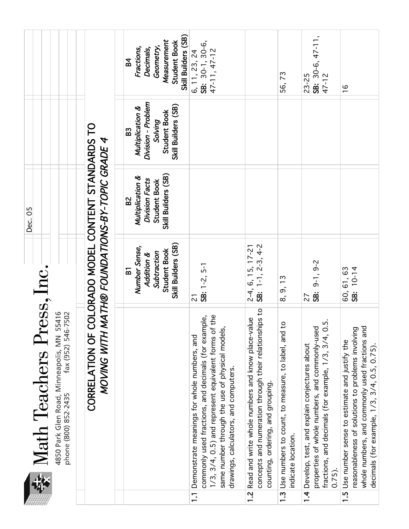|                           |                                                                           | Skill Builders (SB)<br>Measurement<br><b>Student Book</b><br>Geometry,<br>Fractions,<br>Decimals,<br><b>B4</b> | 6, 11, 23, 24<br>SB: 30-1, 30-6,<br>47-11, 47-12                                                                                                                                                                                                                        |                                                                                                                                                                      | 56,73                                                                                     | SB: $30-6, 47-11,$<br>47-12<br>$23 - 25$                                                                                                                                          | $\frac{6}{1}$                                                                                                                                                                                          |
|---------------------------|---------------------------------------------------------------------------|----------------------------------------------------------------------------------------------------------------|-------------------------------------------------------------------------------------------------------------------------------------------------------------------------------------------------------------------------------------------------------------------------|----------------------------------------------------------------------------------------------------------------------------------------------------------------------|-------------------------------------------------------------------------------------------|-----------------------------------------------------------------------------------------------------------------------------------------------------------------------------------|--------------------------------------------------------------------------------------------------------------------------------------------------------------------------------------------------------|
|                           |                                                                           | Division - Problem<br>Skill Builders (SB)<br>Multiplication &<br>Student Book<br>Solving<br>B3                 |                                                                                                                                                                                                                                                                         |                                                                                                                                                                      |                                                                                           |                                                                                                                                                                                   |                                                                                                                                                                                                        |
| Dec. 05                   | COLORADO MODEL CONTENT STANDARDS TO<br>MATH® FOUNDATIONS-BY-TOPIC GRADE 4 | Skill Builders (SB)<br>Multiplication &<br>Division Facts<br><b>Student Book</b><br>B <sub>2</sub>             |                                                                                                                                                                                                                                                                         |                                                                                                                                                                      |                                                                                           |                                                                                                                                                                                   |                                                                                                                                                                                                        |
|                           |                                                                           | Skill Builders (SB)<br>Number Sense,<br><b>Student Book</b><br>Subtraction<br>Addition &<br>$\overline{a}$     | $SE: 1-2, 5-1$<br>$\overline{2}$                                                                                                                                                                                                                                        | $2-4$ , 6, 15, 17-21<br><b>SB:</b> 1-1, 2-3, 4-2                                                                                                                     | 8, 9, 13                                                                                  | $9-1, 9-2$<br>SB:<br>27                                                                                                                                                           | 60, 61, 63<br>SB: 10-14                                                                                                                                                                                |
| Math Teachers Press, Inc. | MOVING WITH<br>CORRELATION OF                                             |                                                                                                                | 1/3, 3/4, 0.5) and represent equivalent forms of the<br>commonly used fractions, and decimals (for example,<br>same number through the use of physical models,<br>Demonstrate meanings for whole numbers, and<br>drawings, calculators, and computers<br>$\overline{1}$ | concepts and numeration through their relationships to<br>Read and write whole numbers and know place-value<br>counting, ordering, and grouping.<br>$\overline{1.2}$ | $\mathsf{S}$<br>1.3 Use numbers to count, to measure, to label, and<br>indicate location. | $\ddot{5}$<br>properties of whole numbers, and commonly-used<br>fractions, and decimals (for example, 1/3, 3/4, 0<br>Develop, test, and explain conjectures about<br>0.75<br>1, 4 | reasonableness of solutions to problems involving<br>whole numbers, and commonly used fractions and<br>1.5 Use number sense to estimate and justify the<br>decimals (for example, 1/3, 3/4, 0.5, 0.75) |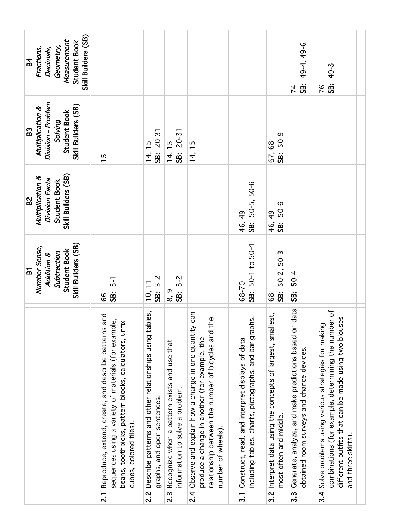| Division - Problem<br>Skill Builders (SB)<br>Multiplication &<br><b>Student Book</b><br>Solving<br>B <sub>3</sub><br>$20 - 31$<br>$20 - 31$<br>5-05<br>$\overline{1}$<br>$\overline{68}$<br>$\frac{5}{1}$<br>14, 15<br>14,<br>14,<br>.<br>98<br>.<br>98<br>67,<br><b>SB</b><br>$\overline{1}$<br>Skill Builders (SB)<br>Multiplication &<br>Division Facts<br>Student Book<br>50-5, 50-6<br>B <sub>2</sub><br>5-05<br>$\frac{49}{5}$<br>46, 49<br>$\overline{\textbf{3}}$<br>46,<br><b>SB:</b><br>Skill Builders (SB)<br>$50-1$ to $50-4$<br>Number Sense,<br><b>Student Book</b><br>Subtraction<br>50-2, 50-3<br>Addition &<br>$\overline{a}$<br>50-4<br>$3 - 2$<br>$3 - 2$<br>$3 - 1$<br>68-70<br>.<br>SB:<br>.<br>SB:<br>8, 9<br>$\overline{\text{SB}}$<br>$\overline{0}$<br>.<br>95<br>\$<br>.<br>58<br>99<br>89<br>the | Skill Builders (SB)<br>Measurement<br><b>Student Book</b><br>Geometry,<br>Fractions,<br>Decimals,<br><b>B4</b> |                                                                                                                                                                                                 |                                                                                        |                                                                                 |                                                                                                                                                                                |                                                                                                           |                                                                                       | 49-4, 49-6<br><b>SB:</b><br>$\overline{7}$                                                         | 49-3<br><br>58<br>76                                                                                                                                                                    |
|-----------------------------------------------------------------------------------------------------------------------------------------------------------------------------------------------------------------------------------------------------------------------------------------------------------------------------------------------------------------------------------------------------------------------------------------------------------------------------------------------------------------------------------------------------------------------------------------------------------------------------------------------------------------------------------------------------------------------------------------------------------------------------------------------------------------------------|----------------------------------------------------------------------------------------------------------------|-------------------------------------------------------------------------------------------------------------------------------------------------------------------------------------------------|----------------------------------------------------------------------------------------|---------------------------------------------------------------------------------|--------------------------------------------------------------------------------------------------------------------------------------------------------------------------------|-----------------------------------------------------------------------------------------------------------|---------------------------------------------------------------------------------------|----------------------------------------------------------------------------------------------------|-----------------------------------------------------------------------------------------------------------------------------------------------------------------------------------------|
|                                                                                                                                                                                                                                                                                                                                                                                                                                                                                                                                                                                                                                                                                                                                                                                                                             |                                                                                                                |                                                                                                                                                                                                 |                                                                                        |                                                                                 |                                                                                                                                                                                |                                                                                                           |                                                                                       |                                                                                                    |                                                                                                                                                                                         |
|                                                                                                                                                                                                                                                                                                                                                                                                                                                                                                                                                                                                                                                                                                                                                                                                                             |                                                                                                                |                                                                                                                                                                                                 |                                                                                        |                                                                                 |                                                                                                                                                                                |                                                                                                           |                                                                                       |                                                                                                    |                                                                                                                                                                                         |
|                                                                                                                                                                                                                                                                                                                                                                                                                                                                                                                                                                                                                                                                                                                                                                                                                             |                                                                                                                |                                                                                                                                                                                                 |                                                                                        |                                                                                 |                                                                                                                                                                                |                                                                                                           |                                                                                       |                                                                                                    |                                                                                                                                                                                         |
| $\overline{3.4}$<br>$\overline{2\cdot}$<br>$\overline{2}$<br>$\overline{2.1}$<br>2.2<br>$3.\overline{3}$<br>3.1                                                                                                                                                                                                                                                                                                                                                                                                                                                                                                                                                                                                                                                                                                             |                                                                                                                | Reproduce, extend, create, and describe patterns and<br>sequences using a variety of materials (for example,<br>beans, toothpicks, pattern blocks, calculators, unfix<br>cubes, colored tiles). | Describe patterns and other relationships using tables,<br>graphs, and open sentences. | Recognize when a pattern exists and use that<br>information to solve a problem. | Observe and explain how a change in one quantity can<br>relationship between the number of bicycles and<br>produce a change in another (for example, the<br>number of wheels). | including tables, charts, pictographs, and bar graphs.<br>Construct, read, and interpret displays of data | 3.2 Interpret data using the concepts of largest, smallest,<br>most often and middle. | Generate, analyze, and make predictions based on data<br>obtained room surveys and chance devices. | combinations (for example, determining the number of<br>different outfits that can be made using two blouses<br>Solve problems using various strategies for making<br>and three skirts) |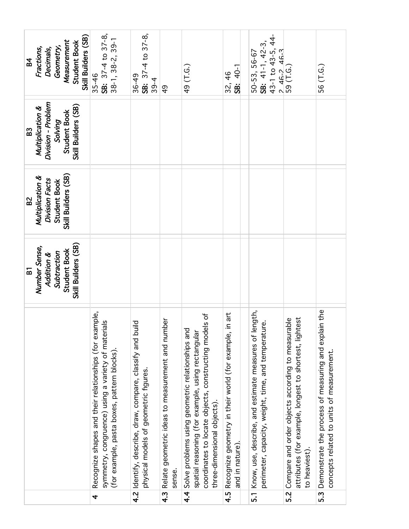| Skill Builders (SB)<br>Measurement<br><b>Student Book</b><br>Geometry,<br>Fractions,<br>Decimals,<br><b>B4</b><br>Division - Problem<br>Skill Builders (SB)<br>Multiplication &<br><b>Student Book</b><br>Solving<br>B3<br>Skill Builders (SB)<br>Multiplication &<br>Division Facts<br>Student Book<br>B <sub>2</sub><br>Skill Builders (SB)<br>Number Sense,<br><b>Student Book</b><br>Subtraction<br>Addition &<br>51 | SB: 37-4 to 37-8,<br>$38 - 1, 38 - 2, 39 - 1$<br>$35 - 46$<br>Recognize shapes and their relationships (for example,<br>symmetry, congruence) using a variety of materials<br>(for example, pasta boxes, pattern blocks). | SB: 37-4 to 37-8,<br>36-49<br>$39 - 4$<br>4.2 Identify, describe, draw, compare, classify and build<br>physical models of geometric figures. | $\frac{6}{4}$<br>Relate geometric ideas to measurement and number | 49 (T.G.)<br>coordinates to locate objects, constructing models of<br>4.4 Solve problems using geometric relationships and<br>spatial reasoning (for example, using rectangular | SB: 40-1<br>32, 46<br>in art<br>Recognize geometry in their world (for example, | 43-1 to 43-5, 44-<br>SB: $41-1, 42-3$<br>46-2 46-3<br>50-53, 56-67<br>$\sim$<br>Know, use, describe, and estimate measures of length,<br>perimeter, capacity, weight, time, and temperature. | 59 (T.G.)<br>attributes (for example, longest to shortest, lightest<br>Compare and order objects according to measurable | 56 (T.G.)<br>Demonstrate the process of measuring and explain the |
|--------------------------------------------------------------------------------------------------------------------------------------------------------------------------------------------------------------------------------------------------------------------------------------------------------------------------------------------------------------------------------------------------------------------------|---------------------------------------------------------------------------------------------------------------------------------------------------------------------------------------------------------------------------|----------------------------------------------------------------------------------------------------------------------------------------------|-------------------------------------------------------------------|---------------------------------------------------------------------------------------------------------------------------------------------------------------------------------|---------------------------------------------------------------------------------|----------------------------------------------------------------------------------------------------------------------------------------------------------------------------------------------|--------------------------------------------------------------------------------------------------------------------------|-------------------------------------------------------------------|
|                                                                                                                                                                                                                                                                                                                                                                                                                          | 4                                                                                                                                                                                                                         |                                                                                                                                              | sense.<br>$\frac{4.3}{ }$                                         | three-dimensional objects).                                                                                                                                                     | and in nature).<br>4.5                                                          | $\overline{5}$                                                                                                                                                                               | to heaviest)<br>$\overline{5.2}$                                                                                         | concepts related to units of measurement.<br>$\overline{5.3}$     |